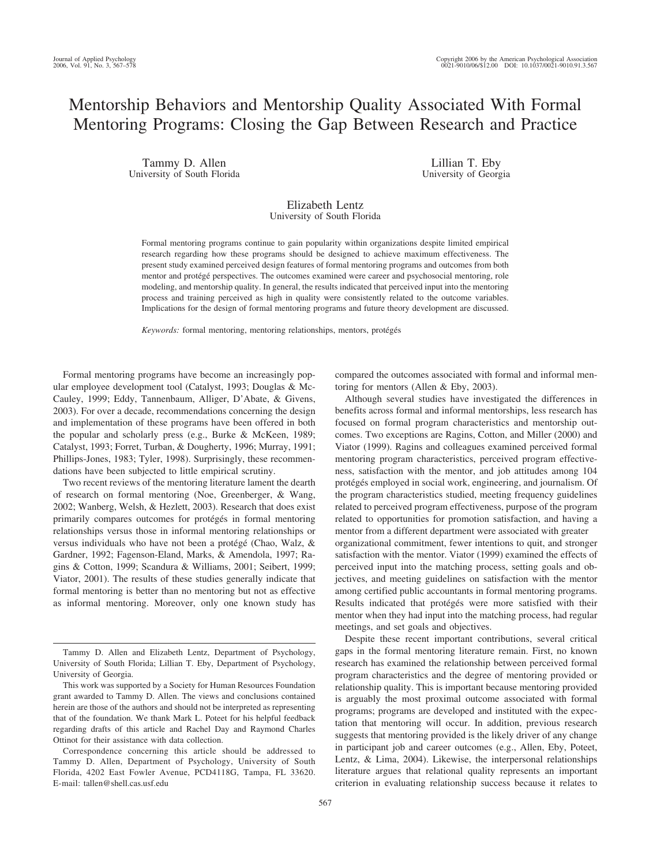# Mentorship Behaviors and Mentorship Quality Associated With Formal Mentoring Programs: Closing the Gap Between Research and Practice

Tammy D. Allen University of South Florida

Lillian T. Eby University of Georgia

# Elizabeth Lentz University of South Florida

Formal mentoring programs continue to gain popularity within organizations despite limited empirical research regarding how these programs should be designed to achieve maximum effectiveness. The present study examined perceived design features of formal mentoring programs and outcomes from both mentor and protégé perspectives. The outcomes examined were career and psychosocial mentoring, role modeling, and mentorship quality. In general, the results indicated that perceived input into the mentoring process and training perceived as high in quality were consistently related to the outcome variables. Implications for the design of formal mentoring programs and future theory development are discussed.

*Keywords:* formal mentoring, mentoring relationships, mentors, protégés

Formal mentoring programs have become an increasingly popular employee development tool (Catalyst, 1993; Douglas & Mc-Cauley, 1999; Eddy, Tannenbaum, Alliger, D'Abate, & Givens, 2003). For over a decade, recommendations concerning the design and implementation of these programs have been offered in both the popular and scholarly press (e.g., Burke & McKeen, 1989; Catalyst, 1993; Forret, Turban, & Dougherty, 1996; Murray, 1991; Phillips-Jones, 1983; Tyler, 1998). Surprisingly, these recommendations have been subjected to little empirical scrutiny.

Two recent reviews of the mentoring literature lament the dearth of research on formal mentoring (Noe, Greenberger, & Wang, 2002; Wanberg, Welsh, & Hezlett, 2003). Research that does exist primarily compares outcomes for protégés in formal mentoring relationships versus those in informal mentoring relationships or versus individuals who have not been a protégé (Chao, Walz, & Gardner, 1992; Fagenson-Eland, Marks, & Amendola, 1997; Ragins & Cotton, 1999; Scandura & Williams, 2001; Seibert, 1999; Viator, 2001). The results of these studies generally indicate that formal mentoring is better than no mentoring but not as effective as informal mentoring. Moreover, only one known study has

Correspondence concerning this article should be addressed to Tammy D. Allen, Department of Psychology, University of South Florida, 4202 East Fowler Avenue, PCD4118G, Tampa, FL 33620. E-mail: tallen@shell.cas.usf.edu

compared the outcomes associated with formal and informal mentoring for mentors (Allen & Eby, 2003).

Although several studies have investigated the differences in benefits across formal and informal mentorships, less research has focused on formal program characteristics and mentorship outcomes. Two exceptions are Ragins, Cotton, and Miller (2000) and Viator (1999). Ragins and colleagues examined perceived formal mentoring program characteristics, perceived program effectiveness, satisfaction with the mentor, and job attitudes among 104 protégés employed in social work, engineering, and journalism. Of the program characteristics studied, meeting frequency guidelines related to perceived program effectiveness, purpose of the program related to opportunities for promotion satisfaction, and having a mentor from a different department were associated with greater organizational commitment, fewer intentions to quit, and stronger satisfaction with the mentor. Viator (1999) examined the effects of perceived input into the matching process, setting goals and objectives, and meeting guidelines on satisfaction with the mentor among certified public accountants in formal mentoring programs. Results indicated that protégés were more satisfied with their mentor when they had input into the matching process, had regular meetings, and set goals and objectives.

Despite these recent important contributions, several critical gaps in the formal mentoring literature remain. First, no known research has examined the relationship between perceived formal program characteristics and the degree of mentoring provided or relationship quality. This is important because mentoring provided is arguably the most proximal outcome associated with formal programs; programs are developed and instituted with the expectation that mentoring will occur. In addition, previous research suggests that mentoring provided is the likely driver of any change in participant job and career outcomes (e.g., Allen, Eby, Poteet, Lentz, & Lima, 2004). Likewise, the interpersonal relationships literature argues that relational quality represents an important criterion in evaluating relationship success because it relates to

Tammy D. Allen and Elizabeth Lentz, Department of Psychology, University of South Florida; Lillian T. Eby, Department of Psychology, University of Georgia.

This work was supported by a Society for Human Resources Foundation grant awarded to Tammy D. Allen. The views and conclusions contained herein are those of the authors and should not be interpreted as representing that of the foundation. We thank Mark L. Poteet for his helpful feedback regarding drafts of this article and Rachel Day and Raymond Charles Ottinot for their assistance with data collection.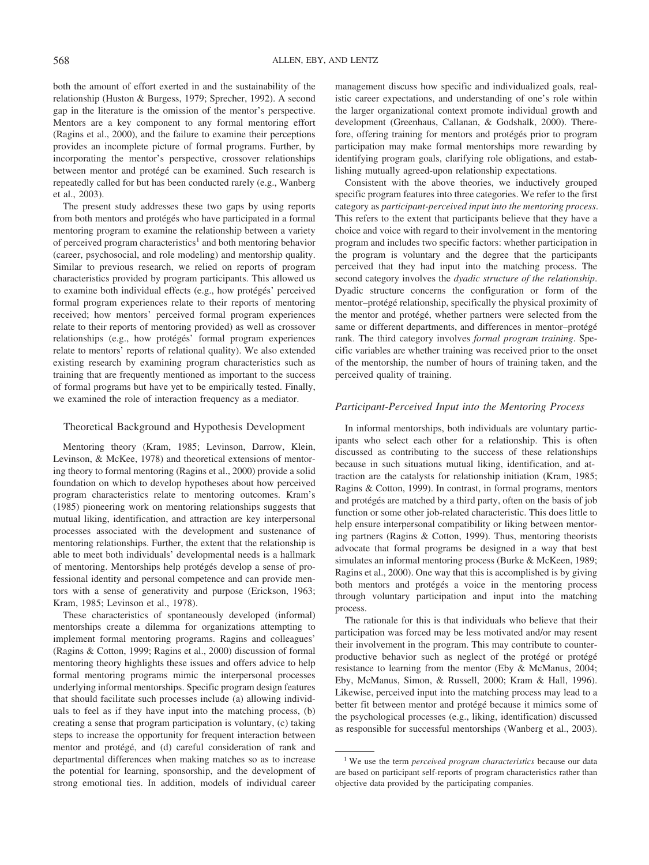both the amount of effort exerted in and the sustainability of the relationship (Huston & Burgess, 1979; Sprecher, 1992). A second gap in the literature is the omission of the mentor's perspective. Mentors are a key component to any formal mentoring effort (Ragins et al., 2000), and the failure to examine their perceptions provides an incomplete picture of formal programs. Further, by incorporating the mentor's perspective, crossover relationships between mentor and protégé can be examined. Such research is repeatedly called for but has been conducted rarely (e.g., Wanberg et al., 2003).

The present study addresses these two gaps by using reports from both mentors and protégés who have participated in a formal mentoring program to examine the relationship between a variety of perceived program characteristics<sup>1</sup> and both mentoring behavior (career, psychosocial, and role modeling) and mentorship quality. Similar to previous research, we relied on reports of program characteristics provided by program participants. This allowed us to examine both individual effects (e.g., how protégés' perceived formal program experiences relate to their reports of mentoring received; how mentors' perceived formal program experiences relate to their reports of mentoring provided) as well as crossover relationships (e.g., how protégés' formal program experiences relate to mentors' reports of relational quality). We also extended existing research by examining program characteristics such as training that are frequently mentioned as important to the success of formal programs but have yet to be empirically tested. Finally, we examined the role of interaction frequency as a mediator.

#### Theoretical Background and Hypothesis Development

Mentoring theory (Kram, 1985; Levinson, Darrow, Klein, Levinson, & McKee, 1978) and theoretical extensions of mentoring theory to formal mentoring (Ragins et al., 2000) provide a solid foundation on which to develop hypotheses about how perceived program characteristics relate to mentoring outcomes. Kram's (1985) pioneering work on mentoring relationships suggests that mutual liking, identification, and attraction are key interpersonal processes associated with the development and sustenance of mentoring relationships. Further, the extent that the relationship is able to meet both individuals' developmental needs is a hallmark of mentoring. Mentorships help protégés develop a sense of professional identity and personal competence and can provide mentors with a sense of generativity and purpose (Erickson, 1963; Kram, 1985; Levinson et al., 1978).

These characteristics of spontaneously developed (informal) mentorships create a dilemma for organizations attempting to implement formal mentoring programs. Ragins and colleagues' (Ragins & Cotton, 1999; Ragins et al., 2000) discussion of formal mentoring theory highlights these issues and offers advice to help formal mentoring programs mimic the interpersonal processes underlying informal mentorships. Specific program design features that should facilitate such processes include (a) allowing individuals to feel as if they have input into the matching process, (b) creating a sense that program participation is voluntary, (c) taking steps to increase the opportunity for frequent interaction between mentor and protégé, and (d) careful consideration of rank and departmental differences when making matches so as to increase the potential for learning, sponsorship, and the development of strong emotional ties. In addition, models of individual career management discuss how specific and individualized goals, realistic career expectations, and understanding of one's role within the larger organizational context promote individual growth and development (Greenhaus, Callanan, & Godshalk, 2000). Therefore, offering training for mentors and protégés prior to program participation may make formal mentorships more rewarding by identifying program goals, clarifying role obligations, and establishing mutually agreed-upon relationship expectations.

Consistent with the above theories, we inductively grouped specific program features into three categories. We refer to the first category as *participant-perceived input into the mentoring process*. This refers to the extent that participants believe that they have a choice and voice with regard to their involvement in the mentoring program and includes two specific factors: whether participation in the program is voluntary and the degree that the participants perceived that they had input into the matching process. The second category involves the *dyadic structure of the relationship*. Dyadic structure concerns the configuration or form of the mentor–protégé relationship, specifically the physical proximity of the mentor and protégé, whether partners were selected from the same or different departments, and differences in mentor-protégé rank. The third category involves *formal program training*. Specific variables are whether training was received prior to the onset of the mentorship, the number of hours of training taken, and the perceived quality of training.

## *Participant-Perceived Input into the Mentoring Process*

In informal mentorships, both individuals are voluntary participants who select each other for a relationship. This is often discussed as contributing to the success of these relationships because in such situations mutual liking, identification, and attraction are the catalysts for relationship initiation (Kram, 1985; Ragins & Cotton, 1999). In contrast, in formal programs, mentors and protégés are matched by a third party, often on the basis of job function or some other job-related characteristic. This does little to help ensure interpersonal compatibility or liking between mentoring partners (Ragins & Cotton, 1999). Thus, mentoring theorists advocate that formal programs be designed in a way that best simulates an informal mentoring process (Burke & McKeen, 1989; Ragins et al., 2000). One way that this is accomplished is by giving both mentors and protégés a voice in the mentoring process through voluntary participation and input into the matching process.

The rationale for this is that individuals who believe that their participation was forced may be less motivated and/or may resent their involvement in the program. This may contribute to counterproductive behavior such as neglect of the protégé or protégé resistance to learning from the mentor (Eby & McManus, 2004; Eby, McManus, Simon, & Russell, 2000; Kram & Hall, 1996). Likewise, perceived input into the matching process may lead to a better fit between mentor and protégé because it mimics some of the psychological processes (e.g., liking, identification) discussed as responsible for successful mentorships (Wanberg et al., 2003).

<sup>1</sup> We use the term *perceived program characteristics* because our data are based on participant self-reports of program characteristics rather than objective data provided by the participating companies.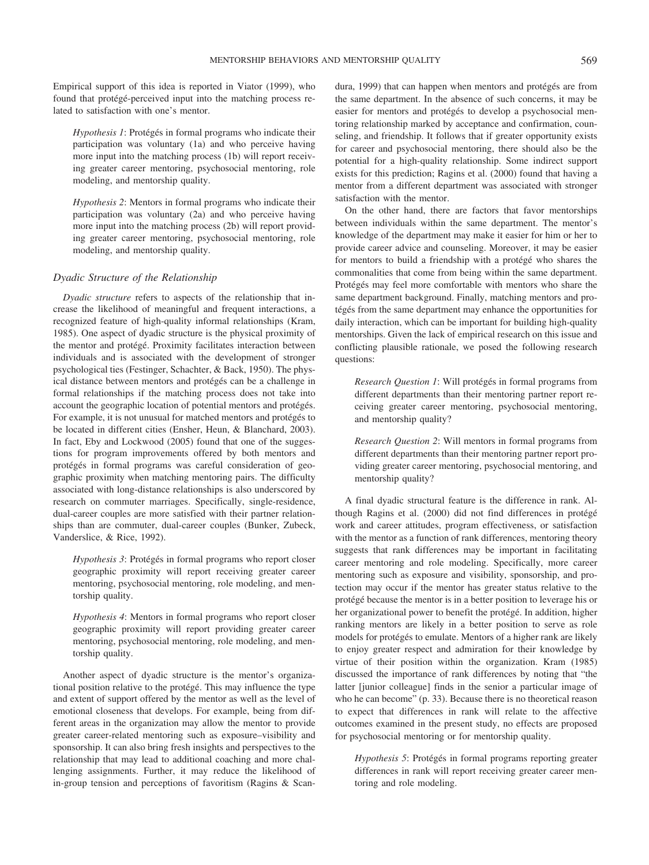Empirical support of this idea is reported in Viator (1999), who found that protégé-perceived input into the matching process related to satisfaction with one's mentor.

*Hypothesis 1*: Protégés in formal programs who indicate their participation was voluntary (1a) and who perceive having more input into the matching process (1b) will report receiving greater career mentoring, psychosocial mentoring, role modeling, and mentorship quality.

*Hypothesis 2*: Mentors in formal programs who indicate their participation was voluntary (2a) and who perceive having more input into the matching process (2b) will report providing greater career mentoring, psychosocial mentoring, role modeling, and mentorship quality.

#### *Dyadic Structure of the Relationship*

*Dyadic structure* refers to aspects of the relationship that increase the likelihood of meaningful and frequent interactions, a recognized feature of high-quality informal relationships (Kram, 1985). One aspect of dyadic structure is the physical proximity of the mentor and protégé. Proximity facilitates interaction between individuals and is associated with the development of stronger psychological ties (Festinger, Schachter, & Back, 1950). The physical distance between mentors and protégés can be a challenge in formal relationships if the matching process does not take into account the geographic location of potential mentors and protégés. For example, it is not unusual for matched mentors and protégés to be located in different cities (Ensher, Heun, & Blanchard, 2003). In fact, Eby and Lockwood (2005) found that one of the suggestions for program improvements offered by both mentors and protégés in formal programs was careful consideration of geographic proximity when matching mentoring pairs. The difficulty associated with long-distance relationships is also underscored by research on commuter marriages. Specifically, single-residence, dual-career couples are more satisfied with their partner relationships than are commuter, dual-career couples (Bunker, Zubeck, Vanderslice, & Rice, 1992).

*Hypothesis 3*: Protégés in formal programs who report closer geographic proximity will report receiving greater career mentoring, psychosocial mentoring, role modeling, and mentorship quality.

*Hypothesis 4*: Mentors in formal programs who report closer geographic proximity will report providing greater career mentoring, psychosocial mentoring, role modeling, and mentorship quality.

Another aspect of dyadic structure is the mentor's organizational position relative to the protégé. This may influence the type and extent of support offered by the mentor as well as the level of emotional closeness that develops. For example, being from different areas in the organization may allow the mentor to provide greater career-related mentoring such as exposure–visibility and sponsorship. It can also bring fresh insights and perspectives to the relationship that may lead to additional coaching and more challenging assignments. Further, it may reduce the likelihood of in-group tension and perceptions of favoritism (Ragins & Scandura, 1999) that can happen when mentors and protégés are from the same department. In the absence of such concerns, it may be easier for mentors and protégés to develop a psychosocial mentoring relationship marked by acceptance and confirmation, counseling, and friendship. It follows that if greater opportunity exists for career and psychosocial mentoring, there should also be the potential for a high-quality relationship. Some indirect support exists for this prediction; Ragins et al. (2000) found that having a mentor from a different department was associated with stronger satisfaction with the mentor.

On the other hand, there are factors that favor mentorships between individuals within the same department. The mentor's knowledge of the department may make it easier for him or her to provide career advice and counseling. Moreover, it may be easier for mentors to build a friendship with a protégé who shares the commonalities that come from being within the same department. Protégés may feel more comfortable with mentors who share the same department background. Finally, matching mentors and protégés from the same department may enhance the opportunities for daily interaction, which can be important for building high-quality mentorships. Given the lack of empirical research on this issue and conflicting plausible rationale, we posed the following research questions:

*Research Question 1*: Will protégés in formal programs from different departments than their mentoring partner report receiving greater career mentoring, psychosocial mentoring, and mentorship quality?

*Research Question 2*: Will mentors in formal programs from different departments than their mentoring partner report providing greater career mentoring, psychosocial mentoring, and mentorship quality?

A final dyadic structural feature is the difference in rank. Although Ragins et al.  $(2000)$  did not find differences in protégé work and career attitudes, program effectiveness, or satisfaction with the mentor as a function of rank differences, mentoring theory suggests that rank differences may be important in facilitating career mentoring and role modeling. Specifically, more career mentoring such as exposure and visibility, sponsorship, and protection may occur if the mentor has greater status relative to the protégé because the mentor is in a better position to leverage his or her organizational power to benefit the protégé. In addition, higher ranking mentors are likely in a better position to serve as role models for protégés to emulate. Mentors of a higher rank are likely to enjoy greater respect and admiration for their knowledge by virtue of their position within the organization. Kram (1985) discussed the importance of rank differences by noting that "the latter [junior colleague] finds in the senior a particular image of who he can become" (p. 33). Because there is no theoretical reason to expect that differences in rank will relate to the affective outcomes examined in the present study, no effects are proposed for psychosocial mentoring or for mentorship quality.

*Hypothesis 5*: Protégés in formal programs reporting greater differences in rank will report receiving greater career mentoring and role modeling.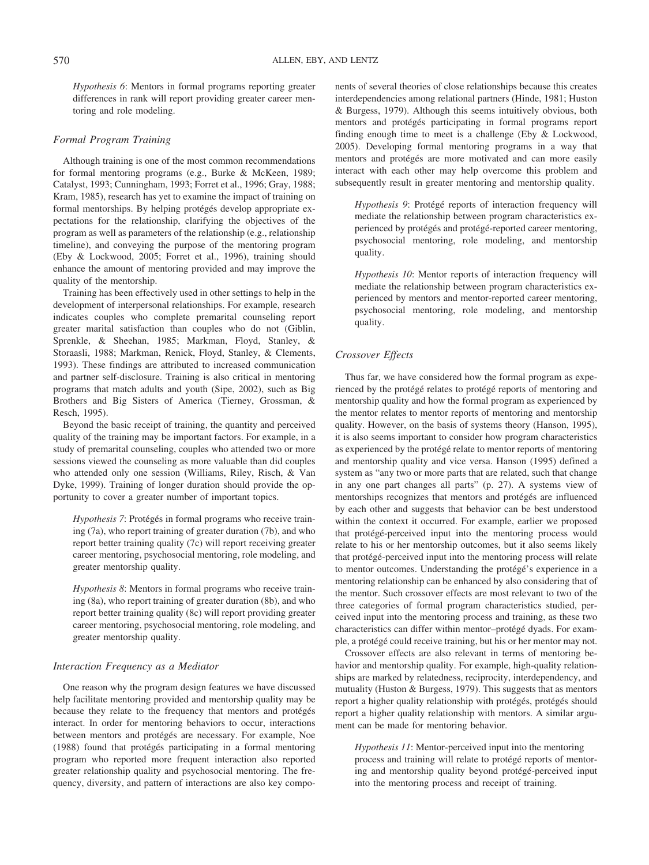*Hypothesis 6*: Mentors in formal programs reporting greater differences in rank will report providing greater career mentoring and role modeling.

## *Formal Program Training*

Although training is one of the most common recommendations for formal mentoring programs (e.g., Burke & McKeen, 1989; Catalyst, 1993; Cunningham, 1993; Forret et al., 1996; Gray, 1988; Kram, 1985), research has yet to examine the impact of training on formal mentorships. By helping protégés develop appropriate expectations for the relationship, clarifying the objectives of the program as well as parameters of the relationship (e.g., relationship timeline), and conveying the purpose of the mentoring program (Eby & Lockwood, 2005; Forret et al., 1996), training should enhance the amount of mentoring provided and may improve the quality of the mentorship.

Training has been effectively used in other settings to help in the development of interpersonal relationships. For example, research indicates couples who complete premarital counseling report greater marital satisfaction than couples who do not (Giblin, Sprenkle, & Sheehan, 1985; Markman, Floyd, Stanley, & Storaasli, 1988; Markman, Renick, Floyd, Stanley, & Clements, 1993). These findings are attributed to increased communication and partner self-disclosure. Training is also critical in mentoring programs that match adults and youth (Sipe, 2002), such as Big Brothers and Big Sisters of America (Tierney, Grossman, & Resch, 1995).

Beyond the basic receipt of training, the quantity and perceived quality of the training may be important factors. For example, in a study of premarital counseling, couples who attended two or more sessions viewed the counseling as more valuable than did couples who attended only one session (Williams, Riley, Risch, & Van Dyke, 1999). Training of longer duration should provide the opportunity to cover a greater number of important topics.

*Hypothesis 7*: Protégés in formal programs who receive training (7a), who report training of greater duration (7b), and who report better training quality (7c) will report receiving greater career mentoring, psychosocial mentoring, role modeling, and greater mentorship quality.

*Hypothesis 8*: Mentors in formal programs who receive training (8a), who report training of greater duration (8b), and who report better training quality (8c) will report providing greater career mentoring, psychosocial mentoring, role modeling, and greater mentorship quality.

# *Interaction Frequency as a Mediator*

One reason why the program design features we have discussed help facilitate mentoring provided and mentorship quality may be because they relate to the frequency that mentors and protégés interact. In order for mentoring behaviors to occur, interactions between mentors and protégés are necessary. For example, Noe  $(1988)$  found that protégés participating in a formal mentoring program who reported more frequent interaction also reported greater relationship quality and psychosocial mentoring. The frequency, diversity, and pattern of interactions are also key components of several theories of close relationships because this creates interdependencies among relational partners (Hinde, 1981; Huston & Burgess, 1979). Although this seems intuitively obvious, both mentors and protégés participating in formal programs report finding enough time to meet is a challenge (Eby & Lockwood, 2005). Developing formal mentoring programs in a way that mentors and protégés are more motivated and can more easily interact with each other may help overcome this problem and subsequently result in greater mentoring and mentorship quality.

Hypothesis 9: Protégé reports of interaction frequency will mediate the relationship between program characteristics experienced by protégés and protégé-reported career mentoring, psychosocial mentoring, role modeling, and mentorship quality.

*Hypothesis 10*: Mentor reports of interaction frequency will mediate the relationship between program characteristics experienced by mentors and mentor-reported career mentoring, psychosocial mentoring, role modeling, and mentorship quality.

## *Crossover Effects*

Thus far, we have considered how the formal program as experienced by the protégé relates to protégé reports of mentoring and mentorship quality and how the formal program as experienced by the mentor relates to mentor reports of mentoring and mentorship quality. However, on the basis of systems theory (Hanson, 1995), it is also seems important to consider how program characteristics as experienced by the protégé relate to mentor reports of mentoring and mentorship quality and vice versa. Hanson (1995) defined a system as "any two or more parts that are related, such that change in any one part changes all parts" (p. 27). A systems view of mentorships recognizes that mentors and protégés are influenced by each other and suggests that behavior can be best understood within the context it occurred. For example, earlier we proposed that protégé-perceived input into the mentoring process would relate to his or her mentorship outcomes, but it also seems likely that protégé-perceived input into the mentoring process will relate to mentor outcomes. Understanding the protégé's experience in a mentoring relationship can be enhanced by also considering that of the mentor. Such crossover effects are most relevant to two of the three categories of formal program characteristics studied, perceived input into the mentoring process and training, as these two characteristics can differ within mentor-protégé dyads. For example, a protégé could receive training, but his or her mentor may not.

Crossover effects are also relevant in terms of mentoring behavior and mentorship quality. For example, high-quality relationships are marked by relatedness, reciprocity, interdependency, and mutuality (Huston & Burgess, 1979). This suggests that as mentors report a higher quality relationship with protégés, protégés should report a higher quality relationship with mentors. A similar argument can be made for mentoring behavior.

*Hypothesis 11*: Mentor-perceived input into the mentoring process and training will relate to protégé reports of mentoring and mentorship quality beyond protégé-perceived input into the mentoring process and receipt of training.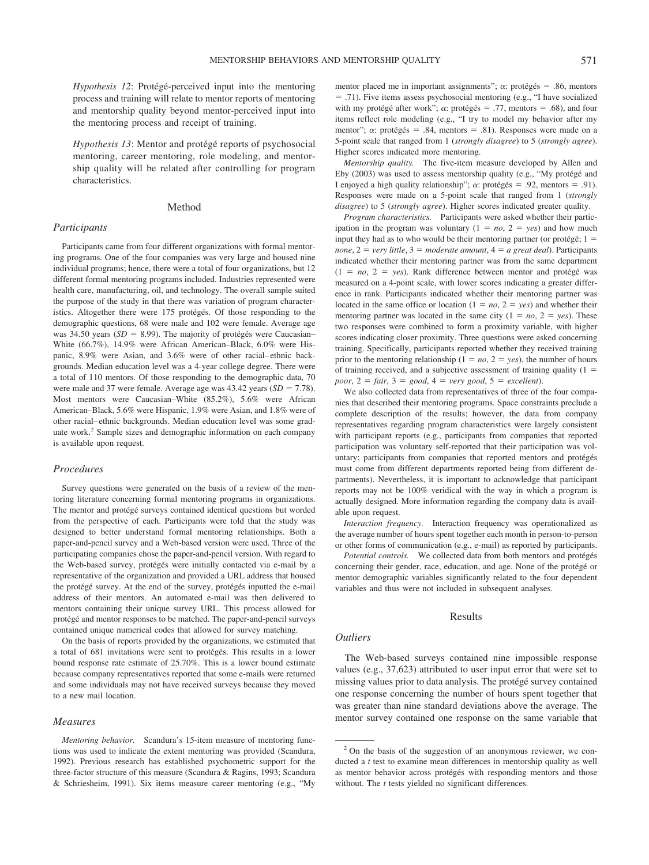*Hypothesis 12*: Protégé-perceived input into the mentoring process and training will relate to mentor reports of mentoring and mentorship quality beyond mentor-perceived input into the mentoring process and receipt of training.

*Hypothesis 13*: Mentor and protégé reports of psychosocial mentoring, career mentoring, role modeling, and mentorship quality will be related after controlling for program characteristics.

#### Method

## *Participants*

Participants came from four different organizations with formal mentoring programs. One of the four companies was very large and housed nine individual programs; hence, there were a total of four organizations, but 12 different formal mentoring programs included. Industries represented were health care, manufacturing, oil, and technology. The overall sample suited the purpose of the study in that there was variation of program characteristics. Altogether there were 175 protégés. Of those responding to the demographic questions, 68 were male and 102 were female. Average age was 34.50 years ( $SD = 8.99$ ). The majority of protégés were Caucasian– White (66.7%), 14.9% were African American–Black, 6.0% were Hispanic, 8.9% were Asian, and 3.6% were of other racial– ethnic backgrounds. Median education level was a 4-year college degree. There were a total of 110 mentors. Of those responding to the demographic data, 70 were male and 37 were female. Average age was  $43.42$  years  $(SD = 7.78)$ . Most mentors were Caucasian–White (85.2%), 5.6% were African American–Black, 5.6% were Hispanic, 1.9% were Asian, and 1.8% were of other racial– ethnic backgrounds. Median education level was some graduate work.<sup>2</sup> Sample sizes and demographic information on each company is available upon request.

#### *Procedures*

Survey questions were generated on the basis of a review of the mentoring literature concerning formal mentoring programs in organizations. The mentor and protégé surveys contained identical questions but worded from the perspective of each. Participants were told that the study was designed to better understand formal mentoring relationships. Both a paper-and-pencil survey and a Web-based version were used. Three of the participating companies chose the paper-and-pencil version. With regard to the Web-based survey, protégés were initially contacted via e-mail by a representative of the organization and provided a URL address that housed the protégé survey. At the end of the survey, protégés inputted the e-mail address of their mentors. An automated e-mail was then delivered to mentors containing their unique survey URL. This process allowed for protégé and mentor responses to be matched. The paper-and-pencil surveys contained unique numerical codes that allowed for survey matching.

On the basis of reports provided by the organizations, we estimated that a total of 681 invitations were sent to protégés. This results in a lower bound response rate estimate of 25.70%. This is a lower bound estimate because company representatives reported that some e-mails were returned and some individuals may not have received surveys because they moved to a new mail location.

#### *Measures*

*Mentoring behavior.* Scandura's 15-item measure of mentoring functions was used to indicate the extent mentoring was provided (Scandura, 1992). Previous research has established psychometric support for the three-factor structure of this measure (Scandura & Ragins, 1993; Scandura & Schriesheim, 1991). Six items measure career mentoring (e.g., "My mentor placed me in important assignments";  $\alpha$ : protégés = .86, mentors .71). Five items assess psychosocial mentoring (e.g., "I have socialized with my protégé after work";  $\alpha$ : protégés = .77, mentors = .68), and four items reflect role modeling (e.g., "I try to model my behavior after my mentor";  $\alpha$ : protégés = .84, mentors = .81). Responses were made on a 5-point scale that ranged from 1 (*strongly disagree*) to 5 (*strongly agree*). Higher scores indicated more mentoring.

*Mentorship quality.* The five-item measure developed by Allen and Eby (2003) was used to assess mentorship quality (e.g., "My protégé and I enjoyed a high quality relationship";  $\alpha$ : protégés = .92, mentors = .91). Responses were made on a 5-point scale that ranged from 1 (*strongly disagree*) to 5 (*strongly agree*). Higher scores indicated greater quality.

*Program characteristics.* Participants were asked whether their participation in the program was voluntary  $(1 = no, 2 = yes)$  and how much input they had as to who would be their mentoring partner (or protégé;  $1 =$ *none*,  $2 = \text{very little}$ ,  $3 = \text{moderate amount}$ ,  $4 = a \text{ great deal}$ . Participants indicated whether their mentoring partner was from the same department  $(1 = no, 2 = yes)$ . Rank difference between mentor and protégé was measured on a 4-point scale, with lower scores indicating a greater difference in rank. Participants indicated whether their mentoring partner was located in the same office or location  $(1 = no, 2 = yes)$  and whether their mentoring partner was located in the same city  $(1 = no, 2 = yes)$ . These two responses were combined to form a proximity variable, with higher scores indicating closer proximity. Three questions were asked concerning training. Specifically, participants reported whether they received training prior to the mentoring relationship  $(1 = no, 2 = yes)$ , the number of hours of training received, and a subjective assessment of training quality  $(1 =$ *poor*,  $2 = \text{fair}$ ,  $3 = \text{good}$ ,  $4 = \text{very good}$ ,  $5 = \text{excellent}$ .

We also collected data from representatives of three of the four companies that described their mentoring programs. Space constraints preclude a complete description of the results; however, the data from company representatives regarding program characteristics were largely consistent with participant reports (e.g., participants from companies that reported participation was voluntary self-reported that their participation was voluntary; participants from companies that reported mentors and protégés must come from different departments reported being from different departments). Nevertheless, it is important to acknowledge that participant reports may not be 100% veridical with the way in which a program is actually designed. More information regarding the company data is available upon request.

*Interaction frequency.* Interaction frequency was operationalized as the average number of hours spent together each month in person-to-person or other forms of communication (e.g., e-mail) as reported by participants.

*Potential controls.* We collected data from both mentors and protégés concerning their gender, race, education, and age. None of the protégé or mentor demographic variables significantly related to the four dependent variables and thus were not included in subsequent analyses.

#### Results

#### *Outliers*

The Web-based surveys contained nine impossible response values (e.g., 37,623) attributed to user input error that were set to missing values prior to data analysis. The protégé survey contained one response concerning the number of hours spent together that was greater than nine standard deviations above the average. The mentor survey contained one response on the same variable that

<sup>2</sup> On the basis of the suggestion of an anonymous reviewer, we conducted a *t* test to examine mean differences in mentorship quality as well as mentor behavior across protégés with responding mentors and those without. The *t* tests yielded no significant differences.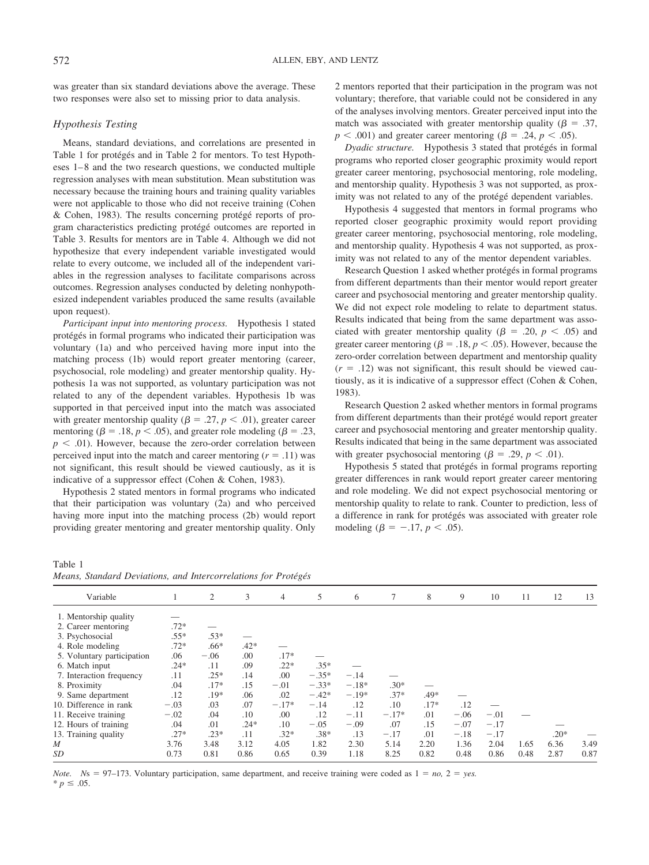was greater than six standard deviations above the average. These two responses were also set to missing prior to data analysis.

## *Hypothesis Testing*

Means, standard deviations, and correlations are presented in Table 1 for protégés and in Table 2 for mentors. To test Hypotheses 1– 8 and the two research questions, we conducted multiple regression analyses with mean substitution. Mean substitution was necessary because the training hours and training quality variables were not applicable to those who did not receive training (Cohen  $& Cohen, 1983$ ). The results concerning protégé reports of program characteristics predicting protégé outcomes are reported in Table 3. Results for mentors are in Table 4. Although we did not hypothesize that every independent variable investigated would relate to every outcome, we included all of the independent variables in the regression analyses to facilitate comparisons across outcomes. Regression analyses conducted by deleting nonhypothesized independent variables produced the same results (available upon request).

*Participant input into mentoring process.* Hypothesis 1 stated protégés in formal programs who indicated their participation was voluntary (1a) and who perceived having more input into the matching process (1b) would report greater mentoring (career, psychosocial, role modeling) and greater mentorship quality. Hypothesis 1a was not supported, as voluntary participation was not related to any of the dependent variables. Hypothesis 1b was supported in that perceived input into the match was associated with greater mentorship quality ( $\beta = .27$ ,  $p < .01$ ), greater career mentoring ( $\beta = .18$ ,  $p < .05$ ), and greater role modeling ( $\beta = .23$ ,  $p < .01$ ). However, because the zero-order correlation between perceived input into the match and career mentoring  $(r = .11)$  was not significant, this result should be viewed cautiously, as it is indicative of a suppressor effect (Cohen & Cohen, 1983).

Hypothesis 2 stated mentors in formal programs who indicated that their participation was voluntary (2a) and who perceived having more input into the matching process (2b) would report providing greater mentoring and greater mentorship quality. Only

2 mentors reported that their participation in the program was not voluntary; therefore, that variable could not be considered in any of the analyses involving mentors. Greater perceived input into the match was associated with greater mentorship quality ( $\beta = .37$ ,  $p < .001$ ) and greater career mentoring ( $\beta = .24$ ,  $p < .05$ ).

*Dyadic structure.* Hypothesis 3 stated that protégés in formal programs who reported closer geographic proximity would report greater career mentoring, psychosocial mentoring, role modeling, and mentorship quality. Hypothesis 3 was not supported, as proximity was not related to any of the protégé dependent variables.

Hypothesis 4 suggested that mentors in formal programs who reported closer geographic proximity would report providing greater career mentoring, psychosocial mentoring, role modeling, and mentorship quality. Hypothesis 4 was not supported, as proximity was not related to any of the mentor dependent variables.

Research Question 1 asked whether protégés in formal programs from different departments than their mentor would report greater career and psychosocial mentoring and greater mentorship quality. We did not expect role modeling to relate to department status. Results indicated that being from the same department was associated with greater mentorship quality ( $\beta = .20, p < .05$ ) and greater career mentoring ( $\beta = .18$ ,  $p < .05$ ). However, because the zero-order correlation between department and mentorship quality  $(r = .12)$  was not significant, this result should be viewed cautiously, as it is indicative of a suppressor effect (Cohen & Cohen, 1983).

Research Question 2 asked whether mentors in formal programs from different departments than their protégé would report greater career and psychosocial mentoring and greater mentorship quality. Results indicated that being in the same department was associated with greater psychosocial mentoring ( $\beta = .29$ ,  $p < .01$ ).

Hypothesis 5 stated that protégés in formal programs reporting greater differences in rank would report greater career mentoring and role modeling. We did not expect psychosocial mentoring or mentorship quality to relate to rank. Counter to prediction, less of a difference in rank for protégés was associated with greater role modeling ( $\beta = -.17, p < .05$ ).

Table 1 *Means, Standard Deviations, and Intercorrelations for Protégés* 

| Variable                   |        | 2      | 3      | 4       | 5       | 6       | 7       | 8      | 9      | 10     | 11   | 12     | 13   |
|----------------------------|--------|--------|--------|---------|---------|---------|---------|--------|--------|--------|------|--------|------|
| 1. Mentorship quality      |        |        |        |         |         |         |         |        |        |        |      |        |      |
| 2. Career mentoring        | $.72*$ |        |        |         |         |         |         |        |        |        |      |        |      |
| 3. Psychosocial            | $.55*$ | $.53*$ |        |         |         |         |         |        |        |        |      |        |      |
| 4. Role modeling           | $.72*$ | .66*   | $.42*$ |         |         |         |         |        |        |        |      |        |      |
| 5. Voluntary participation | .06    | $-.06$ | .00    | $.17*$  |         |         |         |        |        |        |      |        |      |
| 6. Match input             | $.24*$ | .11    | .09    | $.22*$  | $.35*$  |         |         |        |        |        |      |        |      |
| 7. Interaction frequency   | .11    | $.25*$ | .14    | .00     | $-.35*$ | $-.14$  |         |        |        |        |      |        |      |
| 8. Proximity               | .04    | $.17*$ | .15    | $-.01$  | $-.33*$ | $-.18*$ | $.30*$  |        |        |        |      |        |      |
| 9. Same department         | .12    | $.19*$ | .06    | .02     | $-.42*$ | $-.19*$ | $.37*$  | .49*   |        |        |      |        |      |
| 10. Difference in rank     | $-.03$ | .03    | .07    | $-.17*$ | $-.14$  | .12     | .10     | $.17*$ | .12    |        |      |        |      |
| 11. Receive training       | $-.02$ | .04    | .10    | .00     | .12     | $-.11$  | $-.17*$ | .01    | $-.06$ | $-.01$ |      |        |      |
| 12. Hours of training      | .04    | .01    | $.24*$ | .10     | $-.05$  | $-.09$  | .07     | .15    | $-.07$ | $-.17$ |      |        |      |
| 13. Training quality       | $.27*$ | $.23*$ | .11    | $.32*$  | $.38*$  | .13     | $-.17$  | .01    | $-.18$ | $-.17$ |      | $.20*$ |      |
| M                          | 3.76   | 3.48   | 3.12   | 4.05    | 1.82    | 2.30    | 5.14    | 2.20   | 1.36   | 2.04   | 1.65 | 6.36   | 3.49 |
| SD                         | 0.73   | 0.81   | 0.86   | 0.65    | 0.39    | 1.18    | 8.25    | 0.82   | 0.48   | 0.86   | 0.48 | 2.87   | 0.87 |

*Note.*  $Ns = 97-173$ . Voluntary participation, same department, and receive training were coded as  $1 = no$ ,  $2 = yes$ .  $* p \le .05$ .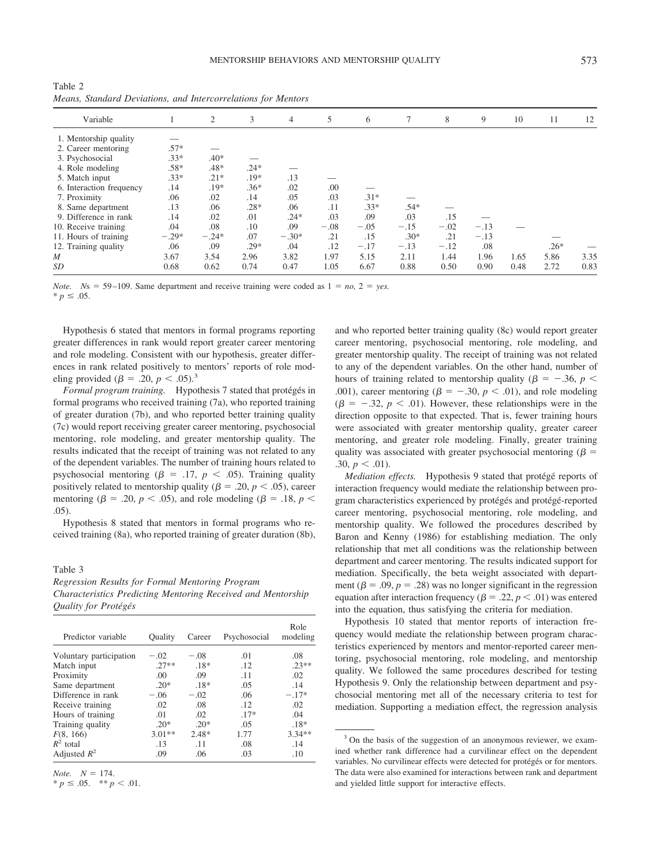Table 2 *Means, Standard Deviations, and Intercorrelations for Mentors*

| Variable                 |         | 2       | 3      | $\overline{4}$ | 5      | 6      | 7      | 8      | 9      | 10   | 11     | 12   |
|--------------------------|---------|---------|--------|----------------|--------|--------|--------|--------|--------|------|--------|------|
| 1. Mentorship quality    |         |         |        |                |        |        |        |        |        |      |        |      |
| 2. Career mentoring      | $.57*$  |         |        |                |        |        |        |        |        |      |        |      |
| 3. Psychosocial          | $.33*$  | $.40*$  |        |                |        |        |        |        |        |      |        |      |
| 4. Role modeling         | .58*    | $.48*$  | $.24*$ |                |        |        |        |        |        |      |        |      |
| 5. Match input           | $.33*$  | $.21*$  | $.19*$ | .13            |        |        |        |        |        |      |        |      |
| 6. Interaction frequency | .14     | .19*    | $.36*$ | .02            | .00    |        |        |        |        |      |        |      |
| 7. Proximity             | .06     | .02     | .14    | .05            | .03    | $.31*$ |        |        |        |      |        |      |
| 8. Same department       | .13     | .06     | $.28*$ | .06            | .11    | $.33*$ | $.54*$ |        |        |      |        |      |
| 9. Difference in rank    | .14     | .02     | .01    | $.24*$         | .03    | .09    | .03    | .15    |        |      |        |      |
| 10. Receive training     | .04     | .08     | .10    | .09            | $-.08$ | $-.05$ | $-.15$ | $-.02$ | $-.13$ |      |        |      |
| 11. Hours of training    | $-.29*$ | $-.24*$ | .07    | $-.30*$        | .21    | .15    | $.30*$ | .21    | $-.13$ |      |        |      |
| 12. Training quality     | .06     | .09     | $.29*$ | .04            | .12    | $-.17$ | $-.13$ | $-.12$ | .08    |      | $.26*$ |      |
| M                        | 3.67    | 3.54    | 2.96   | 3.82           | 1.97   | 5.15   | 2.11   | 1.44   | 1.96   | 1.65 | 5.86   | 3.35 |
| SD                       | 0.68    | 0.62    | 0.74   | 0.47           | 1.05   | 6.67   | 0.88   | 0.50   | 0.90   | 0.48 | 2.72   | 0.83 |

*Note.*  $Ns = 59 - 109$ . Same department and receive training were coded as  $1 = no$ ,  $2 = yes$ .  $* p \le .05$ .

Hypothesis 6 stated that mentors in formal programs reporting greater differences in rank would report greater career mentoring and role modeling. Consistent with our hypothesis, greater differences in rank related positively to mentors' reports of role modeling provided ( $\beta = .20$ ,  $p < .05$ ).<sup>3</sup>

*Formal program training.* Hypothesis 7 stated that protégés in formal programs who received training (7a), who reported training of greater duration (7b), and who reported better training quality (7c) would report receiving greater career mentoring, psychosocial mentoring, role modeling, and greater mentorship quality. The results indicated that the receipt of training was not related to any of the dependent variables. The number of training hours related to psychosocial mentoring ( $\beta = .17$ ,  $p < .05$ ). Training quality positively related to mentorship quality ( $\beta = .20, p < .05$ ), career mentoring ( $\beta = .20$ ,  $p < .05$ ), and role modeling ( $\beta = .18$ ,  $p <$ .05).

Hypothesis 8 stated that mentors in formal programs who received training (8a), who reported training of greater duration (8b),

Table 3 *Regression Results for Formal Mentoring Program Characteristics Predicting Mentoring Received and Mentorship Quality for Prote´ge´s*

| Predictor variable      | Ouality          | Career  | Psychosocial | Role<br>modeling |
|-------------------------|------------------|---------|--------------|------------------|
| Voluntary participation | $-.02$           | $-.08$  | .01          | .08              |
| Match input             | $27**$           | $.18*$  | .12          | $23**$           |
| Proximity               | .00 <sub>1</sub> | .09     | .11          | .02              |
| Same department         | $.20*$           | $.18*$  | .05          | .14              |
| Difference in rank      | $-.06$           | $-.02$  | .06          | $-.17*$          |
| Receive training        | .02              | .08     | .12          | .02              |
| Hours of training       | .01              | .02     | $.17*$       | .04              |
| Training quality        | $.20*$           | $.20*$  | .05          | $.18*$           |
| F(8, 166)               | $3.01**$         | $2.48*$ | 1.77         | $3.34**$         |
| $R^2$ total             | .13              | .11     | .08          | .14              |
| Adjusted $R^2$          | .09              | .06     | .03          | .10              |

 $Note \tN = 174$ 

 $* p \leq .05.$  \*\*  $p < .01.$ 

and who reported better training quality (8c) would report greater career mentoring, psychosocial mentoring, role modeling, and greater mentorship quality. The receipt of training was not related to any of the dependent variables. On the other hand, number of hours of training related to mentorship quality ( $\beta = -.36$ ,  $p <$ .001), career mentoring ( $\beta = -.30, p < .01$ ), and role modeling  $(\beta = -.32, p < .01)$ . However, these relationships were in the direction opposite to that expected. That is, fewer training hours were associated with greater mentorship quality, greater career mentoring, and greater role modeling. Finally, greater training quality was associated with greater psychosocial mentoring ( $\beta$  =  $.30, p \leq .01$ ).

*Mediation effects.* Hypothesis 9 stated that protégé reports of interaction frequency would mediate the relationship between program characteristics experienced by protégés and protégé-reported career mentoring, psychosocial mentoring, role modeling, and mentorship quality. We followed the procedures described by Baron and Kenny (1986) for establishing mediation. The only relationship that met all conditions was the relationship between department and career mentoring. The results indicated support for mediation. Specifically, the beta weight associated with department ( $\beta = .09$ ,  $p = .28$ ) was no longer significant in the regression equation after interaction frequency ( $\beta = .22, p < .01$ ) was entered into the equation, thus satisfying the criteria for mediation.

Hypothesis 10 stated that mentor reports of interaction frequency would mediate the relationship between program characteristics experienced by mentors and mentor-reported career mentoring, psychosocial mentoring, role modeling, and mentorship quality. We followed the same procedures described for testing Hypothesis 9. Only the relationship between department and psychosocial mentoring met all of the necessary criteria to test for mediation. Supporting a mediation effect, the regression analysis

<sup>&</sup>lt;sup>3</sup> On the basis of the suggestion of an anonymous reviewer, we examined whether rank difference had a curvilinear effect on the dependent variables. No curvilinear effects were detected for protégés or for mentors. The data were also examined for interactions between rank and department and yielded little support for interactive effects.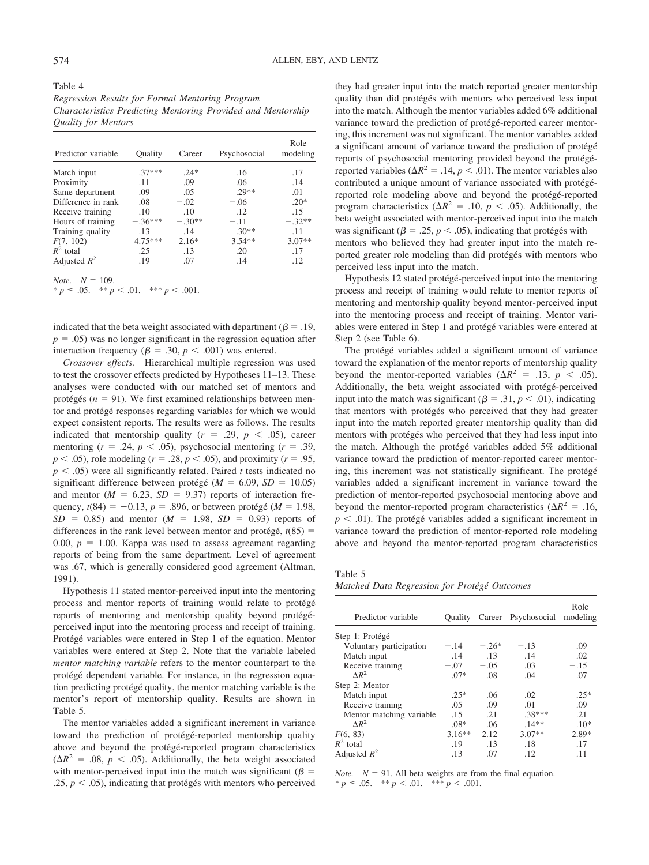Table 4

*Regression Results for Formal Mentoring Program Characteristics Predicting Mentoring Provided and Mentorship Quality for Mentors*

| Predictor variable | Ouality   | Career   | Psychosocial | Role<br>modeling |
|--------------------|-----------|----------|--------------|------------------|
| Match input        | $37***$   | $24*$    | .16          | .17              |
| Proximity          | .11       | .09      | .06          | .14              |
| Same department    | .09       | .05      | $29**$       | .01              |
| Difference in rank | .08       | $-.02$   | $-.06$       | $.20*$           |
| Receive training   | .10       | .10      | .12          | .15              |
| Hours of training  | $-.36***$ | $-.30**$ | $-11$        | $-32**$          |
| Training quality   | .13       | 14       | $30**$       | .11              |
| F(7, 102)          | $4.75***$ | $2.16*$  | $3.54**$     | $3.07**$         |
| $R^2$ total        | -25       | .13      | .20          | .17              |
| Adjusted $R^2$     | .19       | .07      | .14          | .12              |

 $Note. N = 109.$ 

 $* p \leq .05.$   $* p < .01.$   $* \neq p < .001.$ 

indicated that the beta weight associated with department ( $\beta = .19$ ,  $p = .05$ ) was no longer significant in the regression equation after interaction frequency ( $\beta = .30, p < .001$ ) was entered.

*Crossover effects.* Hierarchical multiple regression was used to test the crossover effects predicted by Hypotheses 11–13. These analyses were conducted with our matched set of mentors and protégés ( $n = 91$ ). We first examined relationships between mentor and protégé responses regarding variables for which we would expect consistent reports. The results were as follows. The results indicated that mentorship quality  $(r = .29, p < .05)$ , career mentoring  $(r = .24, p < .05)$ , psychosocial mentoring  $(r = .39,$  $p < .05$ ), role modeling (*r* = .28, *p* < .05), and proximity (*r* = .95,  $p < .05$ ) were all significantly related. Paired *t* tests indicated no significant difference between protégé ( $M = 6.09$ ,  $SD = 10.05$ ) and mentor  $(M = 6.23, SD = 9.37)$  reports of interaction frequency,  $t(84) = -0.13$ ,  $p = .896$ , or between protégé ( $M = 1.98$ ,  $SD = 0.85$  and mentor  $(M = 1.98, SD = 0.93)$  reports of differences in the rank level between mentor and protégé,  $t(85)$  = 0.00,  $p = 1.00$ . Kappa was used to assess agreement regarding reports of being from the same department. Level of agreement was .67, which is generally considered good agreement (Altman, 1991).

Hypothesis 11 stated mentor-perceived input into the mentoring process and mentor reports of training would relate to protégé reports of mentoring and mentorship quality beyond protégéperceived input into the mentoring process and receipt of training. Protégé variables were entered in Step 1 of the equation. Mentor variables were entered at Step 2. Note that the variable labeled *mentor matching variable* refers to the mentor counterpart to the protégé dependent variable. For instance, in the regression equation predicting protégé quality, the mentor matching variable is the mentor's report of mentorship quality. Results are shown in Table 5.

The mentor variables added a significant increment in variance toward the prediction of protégé-reported mentorship quality above and beyond the protégé-reported program characteristics  $(\Delta R^2 = .08, p < .05)$ . Additionally, the beta weight associated with mentor-perceived input into the match was significant ( $\beta$  =  $.25, p < .05$ ), indicating that protégés with mentors who perceived

they had greater input into the match reported greater mentorship quality than did protégés with mentors who perceived less input into the match. Although the mentor variables added 6% additional variance toward the prediction of protégé-reported career mentoring, this increment was not significant. The mentor variables added a significant amount of variance toward the prediction of protégé reports of psychosocial mentoring provided beyond the protégéreported variables ( $\Delta R^2 = .14$ ,  $p < .01$ ). The mentor variables also contributed a unique amount of variance associated with protégéreported role modeling above and beyond the protégé-reported program characteristics ( $\Delta R^2 = .10$ ,  $p < .05$ ). Additionally, the beta weight associated with mentor-perceived input into the match was significant ( $\beta = .25$ ,  $p < .05$ ), indicating that protégés with mentors who believed they had greater input into the match reported greater role modeling than did protégés with mentors who perceived less input into the match.

Hypothesis 12 stated protégé-perceived input into the mentoring process and receipt of training would relate to mentor reports of mentoring and mentorship quality beyond mentor-perceived input into the mentoring process and receipt of training. Mentor variables were entered in Step 1 and protégé variables were entered at Step 2 (see Table 6).

The protégé variables added a significant amount of variance toward the explanation of the mentor reports of mentorship quality beyond the mentor-reported variables  $(\Delta R^2 = .13, p < .05)$ . Additionally, the beta weight associated with protégé-perceived input into the match was significant ( $\beta = .31, p < .01$ ), indicating that mentors with protégés who perceived that they had greater input into the match reported greater mentorship quality than did mentors with protégés who perceived that they had less input into the match. Although the protégé variables added  $5%$  additional variance toward the prediction of mentor-reported career mentoring, this increment was not statistically significant. The protégé variables added a significant increment in variance toward the prediction of mentor-reported psychosocial mentoring above and beyond the mentor-reported program characteristics ( $\Delta R^2 = .16$ ,  $p < .01$ ). The protégé variables added a significant increment in variance toward the prediction of mentor-reported role modeling above and beyond the mentor-reported program characteristics

Table 5 *Matched Data Regression for Prote´ge´ Outcomes*

| Predictor variable       | <b>Ouality</b> |         | Career Psychosocial | Role<br>modeling |
|--------------------------|----------------|---------|---------------------|------------------|
| Step 1: Protégé          |                |         |                     |                  |
| Voluntary participation  | $-.14$         | $-.26*$ | $-.13$              | .09              |
| Match input              | .14            | .13     | .14                 | .02              |
| Receive training         | $-.07$         | $-.05$  | .03                 | $-.15$           |
| $\Lambda R^2$            | $.07*$         | .08     | .04                 | .07              |
| Step 2: Mentor           |                |         |                     |                  |
| Match input              | $.25*$         | .06     | .02                 | $.25*$           |
| Receive training         | .05            | .09     | .01                 | .09              |
| Mentor matching variable | .15            | .21     | $.38***$            | .21              |
| $\Lambda R^2$            | $.08*$         | .06     | $.14***$            | $.10*$           |
| F(6, 83)                 | $3.16**$       | 2.12    | $3.07**$            | $2.89*$          |
| $R^2$ total              | .19            | .13     | .18                 | .17              |
| Adjusted $R^2$           | .13            | .07     | .12                 | .11              |
|                          |                |         |                     |                  |

*Note.*  $N = 91$ . All beta weights are from the final equation.  $* p \leq .05.$   $* p < .01.$   $* \neq p < .001.$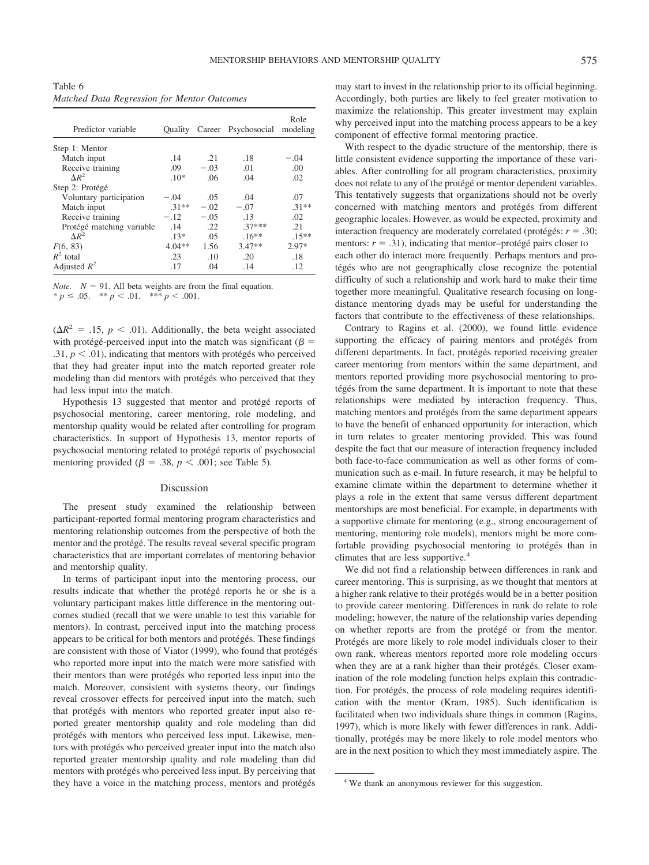Table 6 *Matched Data Regression for Mentor Outcomes*

| Predictor variable        |          |        | Quality Career Psychosocial | Role<br>modeling |
|---------------------------|----------|--------|-----------------------------|------------------|
| Step 1: Mentor            |          |        |                             |                  |
| Match input               | .14      | .21    | .18                         | $-.04$           |
| Receive training          | .09      | $-.03$ | .01                         | .00              |
| $\Lambda R^2$             | $.10*$   | .06    | .04                         | .02              |
| Step 2: Protégé           |          |        |                             |                  |
| Voluntary participation   | $-.04$   | .05    | .04                         | .07              |
| Match input               | $31**$   | $-.02$ | $-.07$                      | $.31**$          |
| Receive training          | $-.12$   | $-.05$ | .13                         | .02              |
| Protégé matching variable | .14      | .22    | $.37***$                    | -21              |
| $\Lambda R^2$             | $.13*$   | .05    | $.16***$                    | $.15***$         |
| F(6, 83)                  | $4.04**$ | 1.56   | $3.47**$                    | $2.97*$          |
| $R^2$ total               | .23      | .10    | .20                         | .18              |
| Adjusted $R^2$            | .17      | .04    | .14                         | .12              |

*Note.*  $N = 91$ . All beta weights are from the final equation.  $* p \leq .05.$   $* p < .01.$   $* p < .001.$ 

 $(\Delta R^2 = .15, p < .01)$ . Additionally, the beta weight associated with protégé-perceived input into the match was significant ( $\beta$  =  $.31, p \leq .01$ ), indicating that mentors with protégés who perceived that they had greater input into the match reported greater role modeling than did mentors with protégés who perceived that they had less input into the match.

Hypothesis 13 suggested that mentor and protégé reports of psychosocial mentoring, career mentoring, role modeling, and mentorship quality would be related after controlling for program characteristics. In support of Hypothesis 13, mentor reports of psychosocial mentoring related to protégé reports of psychosocial mentoring provided ( $\beta = .38$ ,  $p < .001$ ; see Table 5).

## Discussion

The present study examined the relationship between participant-reported formal mentoring program characteristics and mentoring relationship outcomes from the perspective of both the mentor and the protégé. The results reveal several specific program characteristics that are important correlates of mentoring behavior and mentorship quality.

In terms of participant input into the mentoring process, our results indicate that whether the protégé reports he or she is a voluntary participant makes little difference in the mentoring outcomes studied (recall that we were unable to test this variable for mentors). In contrast, perceived input into the matching process appears to be critical for both mentors and protégés. These findings are consistent with those of Viator (1999), who found that protégés who reported more input into the match were more satisfied with their mentors than were protégés who reported less input into the match. Moreover, consistent with systems theory, our findings reveal crossover effects for perceived input into the match, such that protégés with mentors who reported greater input also reported greater mentorship quality and role modeling than did protégés with mentors who perceived less input. Likewise, mentors with protégés who perceived greater input into the match also reported greater mentorship quality and role modeling than did mentors with protégés who perceived less input. By perceiving that they have a voice in the matching process, mentors and protégés

may start to invest in the relationship prior to its official beginning. Accordingly, both parties are likely to feel greater motivation to maximize the relationship. This greater investment may explain why perceived input into the matching process appears to be a key component of effective formal mentoring practice.

With respect to the dyadic structure of the mentorship, there is little consistent evidence supporting the importance of these variables. After controlling for all program characteristics, proximity does not relate to any of the protégé or mentor dependent variables. This tentatively suggests that organizations should not be overly concerned with matching mentors and protégés from different geographic locales. However, as would be expected, proximity and interaction frequency are moderately correlated (protégés:  $r = .30$ ; mentors:  $r = .31$ ), indicating that mentor–protégé pairs closer to each other do interact more frequently. Perhaps mentors and protégés who are not geographically close recognize the potential difficulty of such a relationship and work hard to make their time together more meaningful. Qualitative research focusing on longdistance mentoring dyads may be useful for understanding the factors that contribute to the effectiveness of these relationships.

Contrary to Ragins et al. (2000), we found little evidence supporting the efficacy of pairing mentors and protégés from different departments. In fact, protégés reported receiving greater career mentoring from mentors within the same department, and mentors reported providing more psychosocial mentoring to protégés from the same department. It is important to note that these relationships were mediated by interaction frequency. Thus, matching mentors and protégés from the same department appears to have the benefit of enhanced opportunity for interaction, which in turn relates to greater mentoring provided. This was found despite the fact that our measure of interaction frequency included both face-to-face communication as well as other forms of communication such as e-mail. In future research, it may be helpful to examine climate within the department to determine whether it plays a role in the extent that same versus different department mentorships are most beneficial. For example, in departments with a supportive climate for mentoring (e.g., strong encouragement of mentoring, mentoring role models), mentors might be more comfortable providing psychosocial mentoring to protégés than in climates that are less supportive.<sup>4</sup>

We did not find a relationship between differences in rank and career mentoring. This is surprising, as we thought that mentors at a higher rank relative to their protégés would be in a better position to provide career mentoring. Differences in rank do relate to role modeling; however, the nature of the relationship varies depending on whether reports are from the protégé or from the mentor. Protégés are more likely to role model individuals closer to their own rank, whereas mentors reported more role modeling occurs when they are at a rank higher than their protégés. Closer examination of the role modeling function helps explain this contradiction. For protégés, the process of role modeling requires identification with the mentor (Kram, 1985). Such identification is facilitated when two individuals share things in common (Ragins, 1997), which is more likely with fewer differences in rank. Additionally, protégés may be more likely to role model mentors who are in the next position to which they most immediately aspire. The

<sup>4</sup> We thank an anonymous reviewer for this suggestion.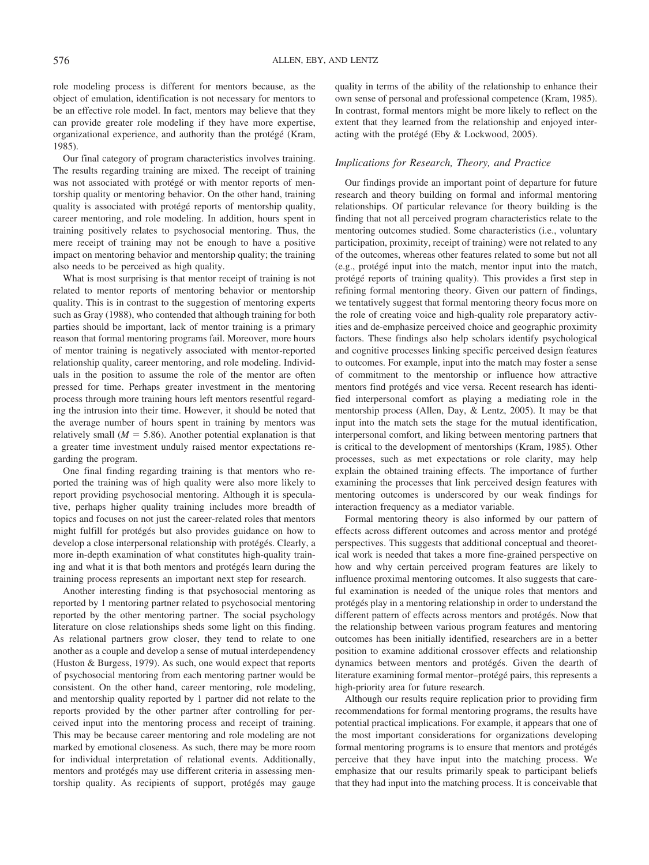role modeling process is different for mentors because, as the object of emulation, identification is not necessary for mentors to be an effective role model. In fact, mentors may believe that they can provide greater role modeling if they have more expertise, organizational experience, and authority than the protégé (Kram, 1985).

Our final category of program characteristics involves training. The results regarding training are mixed. The receipt of training was not associated with protégé or with mentor reports of mentorship quality or mentoring behavior. On the other hand, training quality is associated with protégé reports of mentorship quality, career mentoring, and role modeling. In addition, hours spent in training positively relates to psychosocial mentoring. Thus, the mere receipt of training may not be enough to have a positive impact on mentoring behavior and mentorship quality; the training also needs to be perceived as high quality.

What is most surprising is that mentor receipt of training is not related to mentor reports of mentoring behavior or mentorship quality. This is in contrast to the suggestion of mentoring experts such as Gray (1988), who contended that although training for both parties should be important, lack of mentor training is a primary reason that formal mentoring programs fail. Moreover, more hours of mentor training is negatively associated with mentor-reported relationship quality, career mentoring, and role modeling. Individuals in the position to assume the role of the mentor are often pressed for time. Perhaps greater investment in the mentoring process through more training hours left mentors resentful regarding the intrusion into their time. However, it should be noted that the average number of hours spent in training by mentors was relatively small  $(M = 5.86)$ . Another potential explanation is that a greater time investment unduly raised mentor expectations regarding the program.

One final finding regarding training is that mentors who reported the training was of high quality were also more likely to report providing psychosocial mentoring. Although it is speculative, perhaps higher quality training includes more breadth of topics and focuses on not just the career-related roles that mentors might fulfill for protégés but also provides guidance on how to develop a close interpersonal relationship with protégés. Clearly, a more in-depth examination of what constitutes high-quality training and what it is that both mentors and protégés learn during the training process represents an important next step for research.

Another interesting finding is that psychosocial mentoring as reported by 1 mentoring partner related to psychosocial mentoring reported by the other mentoring partner. The social psychology literature on close relationships sheds some light on this finding. As relational partners grow closer, they tend to relate to one another as a couple and develop a sense of mutual interdependency (Huston & Burgess, 1979). As such, one would expect that reports of psychosocial mentoring from each mentoring partner would be consistent. On the other hand, career mentoring, role modeling, and mentorship quality reported by 1 partner did not relate to the reports provided by the other partner after controlling for perceived input into the mentoring process and receipt of training. This may be because career mentoring and role modeling are not marked by emotional closeness. As such, there may be more room for individual interpretation of relational events. Additionally, mentors and protégés may use different criteria in assessing mentorship quality. As recipients of support, protégés may gauge quality in terms of the ability of the relationship to enhance their own sense of personal and professional competence (Kram, 1985). In contrast, formal mentors might be more likely to reflect on the extent that they learned from the relationship and enjoyed interacting with the protégé (Eby  $& Lockwood, 2005$ ).

## *Implications for Research, Theory, and Practice*

Our findings provide an important point of departure for future research and theory building on formal and informal mentoring relationships. Of particular relevance for theory building is the finding that not all perceived program characteristics relate to the mentoring outcomes studied. Some characteristics (i.e., voluntary participation, proximity, receipt of training) were not related to any of the outcomes, whereas other features related to some but not all (e.g., protégé input into the match, mentor input into the match, protégé reports of training quality). This provides a first step in refining formal mentoring theory. Given our pattern of findings, we tentatively suggest that formal mentoring theory focus more on the role of creating voice and high-quality role preparatory activities and de-emphasize perceived choice and geographic proximity factors. These findings also help scholars identify psychological and cognitive processes linking specific perceived design features to outcomes. For example, input into the match may foster a sense of commitment to the mentorship or influence how attractive mentors find protégés and vice versa. Recent research has identified interpersonal comfort as playing a mediating role in the mentorship process (Allen, Day, & Lentz, 2005). It may be that input into the match sets the stage for the mutual identification, interpersonal comfort, and liking between mentoring partners that is critical to the development of mentorships (Kram, 1985). Other processes, such as met expectations or role clarity, may help explain the obtained training effects. The importance of further examining the processes that link perceived design features with mentoring outcomes is underscored by our weak findings for interaction frequency as a mediator variable.

Formal mentoring theory is also informed by our pattern of effects across different outcomes and across mentor and protégé perspectives. This suggests that additional conceptual and theoretical work is needed that takes a more fine-grained perspective on how and why certain perceived program features are likely to influence proximal mentoring outcomes. It also suggests that careful examination is needed of the unique roles that mentors and protégés play in a mentoring relationship in order to understand the different pattern of effects across mentors and protégés. Now that the relationship between various program features and mentoring outcomes has been initially identified, researchers are in a better position to examine additional crossover effects and relationship dynamics between mentors and protégés. Given the dearth of literature examining formal mentor-protégé pairs, this represents a high-priority area for future research.

Although our results require replication prior to providing firm recommendations for formal mentoring programs, the results have potential practical implications. For example, it appears that one of the most important considerations for organizations developing formal mentoring programs is to ensure that mentors and protégés perceive that they have input into the matching process. We emphasize that our results primarily speak to participant beliefs that they had input into the matching process. It is conceivable that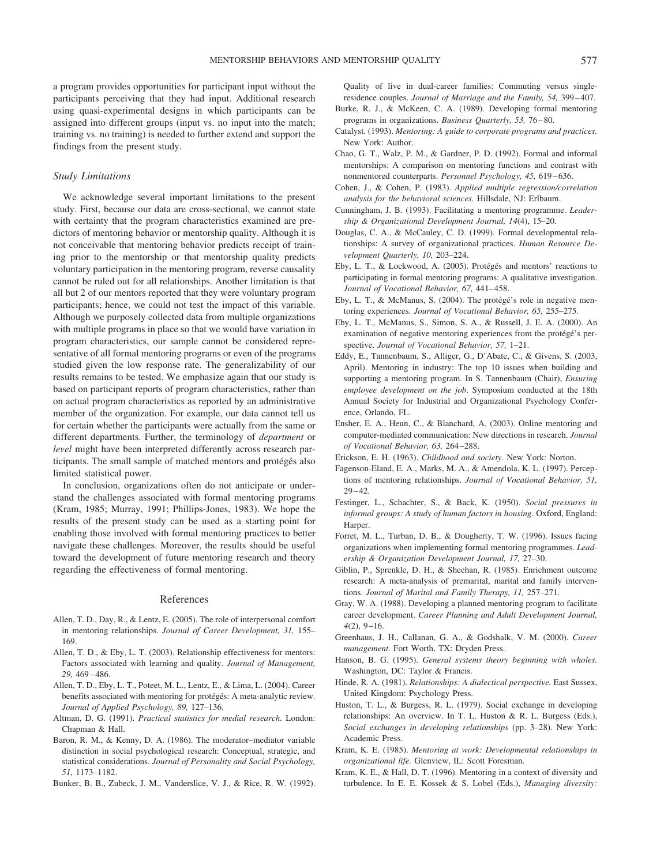a program provides opportunities for participant input without the participants perceiving that they had input. Additional research using quasi-experimental designs in which participants can be assigned into different groups (input vs. no input into the match; training vs. no training) is needed to further extend and support the findings from the present study.

#### *Study Limitations*

We acknowledge several important limitations to the present study. First, because our data are cross-sectional, we cannot state with certainty that the program characteristics examined are predictors of mentoring behavior or mentorship quality. Although it is not conceivable that mentoring behavior predicts receipt of training prior to the mentorship or that mentorship quality predicts voluntary participation in the mentoring program, reverse causality cannot be ruled out for all relationships. Another limitation is that all but 2 of our mentors reported that they were voluntary program participants; hence, we could not test the impact of this variable. Although we purposely collected data from multiple organizations with multiple programs in place so that we would have variation in program characteristics, our sample cannot be considered representative of all formal mentoring programs or even of the programs studied given the low response rate. The generalizability of our results remains to be tested. We emphasize again that our study is based on participant reports of program characteristics, rather than on actual program characteristics as reported by an administrative member of the organization. For example, our data cannot tell us for certain whether the participants were actually from the same or different departments. Further, the terminology of *department* or *level* might have been interpreted differently across research participants. The small sample of matched mentors and protégés also limited statistical power.

In conclusion, organizations often do not anticipate or understand the challenges associated with formal mentoring programs (Kram, 1985; Murray, 1991; Phillips-Jones, 1983). We hope the results of the present study can be used as a starting point for enabling those involved with formal mentoring practices to better navigate these challenges. Moreover, the results should be useful toward the development of future mentoring research and theory regarding the effectiveness of formal mentoring.

#### References

- Allen, T. D., Day, R., & Lentz, E. (2005). The role of interpersonal comfort in mentoring relationships. *Journal of Career Development, 31,* 155– 169.
- Allen, T. D., & Eby, L. T. (2003). Relationship effectiveness for mentors: Factors associated with learning and quality. *Journal of Management, 29,* 469 – 486.
- Allen, T. D., Eby, L. T., Poteet, M. L., Lentz, E., & Lima, L. (2004). Career benefits associated with mentoring for protégés: A meta-analytic review. *Journal of Applied Psychology, 89,* 127–136.
- Altman, D. G. (1991). *Practical statistics for medial research.* London: Chapman & Hall.
- Baron, R. M., & Kenny, D. A. (1986). The moderator–mediator variable distinction in social psychological research: Conceptual, strategic, and statistical considerations. *Journal of Personality and Social Psychology, 51,* 1173–1182.
- Bunker, B. B., Zubeck, J. M., Vanderslice, V. J., & Rice, R. W. (1992).

Quality of live in dual-career families: Commuting versus singleresidence couples. *Journal of Marriage and the Family, 54,* 399 – 407.

- Burke, R. J., & McKeen, C. A. (1989). Developing formal mentoring programs in organizations. *Business Quarterly, 53,* 76 – 80.
- Catalyst. (1993). *Mentoring: A guide to corporate programs and practices.* New York: Author.
- Chao, G. T., Walz, P. M., & Gardner, P. D. (1992). Formal and informal mentorships: A comparison on mentoring functions and contrast with nonmentored counterparts. *Personnel Psychology*, 45, 619-636.
- Cohen, J., & Cohen, P. (1983). *Applied multiple regression/correlation analysis for the behavioral sciences.* Hillsdale, NJ: Erlbaum.
- Cunningham, J. B. (1993). Facilitating a mentoring programme. *Leadership & Organizational Development Journal, 14*(4), 15–20.
- Douglas, C. A., & McCauley, C. D. (1999). Formal developmental relationships: A survey of organizational practices. *Human Resource Development Quarterly, 10,* 203–224.
- Eby, L. T., & Lockwood, A. (2005). Protégés and mentors' reactions to participating in formal mentoring programs: A qualitative investigation. *Journal of Vocational Behavior, 67,* 441– 458.
- Eby, L. T., & McManus, S. (2004). The protégé's role in negative mentoring experiences. *Journal of Vocational Behavior, 65,* 255–275.
- Eby, L. T., McManus, S., Simon, S. A., & Russell, J. E. A. (2000). An examination of negative mentoring experiences from the protégé's perspective. *Journal of Vocational Behavior, 57,* 1–21.
- Eddy, E., Tannenbaum, S., Alliger, G., D'Abate, C., & Givens, S. (2003, April). Mentoring in industry: The top 10 issues when building and supporting a mentoring program. In S. Tannenbaum (Chair), *Ensuring employee development on the job*. Symposium conducted at the 18th Annual Society for Industrial and Organizational Psychology Conference, Orlando, FL.
- Ensher, E. A., Heun, C., & Blanchard, A. (2003). Online mentoring and computer-mediated communication: New directions in research. *Journal of Vocational Behavior, 63,* 264 –288.
- Erickson, E. H. (1963). *Childhood and society.* New York: Norton.
- Fagenson-Eland, E. A., Marks, M. A., & Amendola, K. L. (1997). Perceptions of mentoring relationships. *Journal of Vocational Behavior, 51,*  $29 - 42.$
- Festinger, L., Schachter, S., & Back, K. (1950). *Social pressures in informal groups: A study of human factors in housing.* Oxford, England: Harper.
- Forret, M. L., Turban, D. B., & Dougherty, T. W. (1996). Issues facing organizations when implementing formal mentoring programmes. *Leadership & Organization Development Journal, 17,* 27–30.
- Giblin, P., Sprenkle, D. H., & Sheehan, R. (1985). Enrichment outcome research: A meta-analysis of premarital, marital and family interventions. *Journal of Marital and Family Therapy, 11,* 257–271.
- Gray, W. A. (1988). Developing a planned mentoring program to facilitate career development. *Career Planning and Adult Development Journal, 4*(2), 9 –16.
- Greenhaus, J. H., Callanan, G. A., & Godshalk, V. M. (2000). *Career management.* Fort Worth, TX: Dryden Press.
- Hanson, B. G. (1995). *General systems theory beginning with wholes.* Washington, DC: Taylor & Francis.
- Hinde, R. A. (1981). *Relationships: A dialectical perspective.* East Sussex, United Kingdom: Psychology Press.
- Huston, T. L., & Burgess, R. L. (1979). Social exchange in developing relationships: An overview. In T. L. Huston & R. L. Burgess (Eds.), *Social exchanges in developing relationships* (pp. 3–28). New York: Academic Press.
- Kram, K. E. (1985). *Mentoring at work: Developmental relationships in organizational life.* Glenview, IL: Scott Foresman.
- Kram, K. E., & Hall, D. T. (1996). Mentoring in a context of diversity and turbulence. In E. E. Kossek & S. Lobel (Eds.), *Managing diversity:*